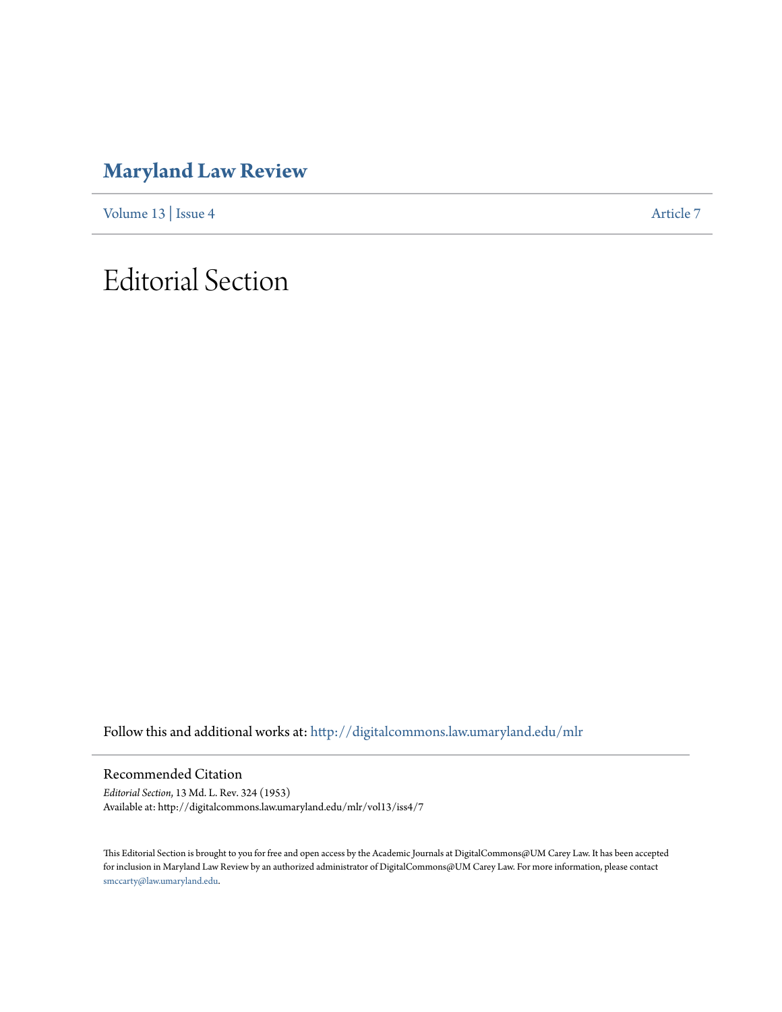### **[Maryland Law Review](http://digitalcommons.law.umaryland.edu/mlr?utm_source=digitalcommons.law.umaryland.edu%2Fmlr%2Fvol13%2Fiss4%2F7&utm_medium=PDF&utm_campaign=PDFCoverPages)**

[Volume 13](http://digitalcommons.law.umaryland.edu/mlr/vol13?utm_source=digitalcommons.law.umaryland.edu%2Fmlr%2Fvol13%2Fiss4%2F7&utm_medium=PDF&utm_campaign=PDFCoverPages) | [Issue 4](http://digitalcommons.law.umaryland.edu/mlr/vol13/iss4?utm_source=digitalcommons.law.umaryland.edu%2Fmlr%2Fvol13%2Fiss4%2F7&utm_medium=PDF&utm_campaign=PDFCoverPages) [Article 7](http://digitalcommons.law.umaryland.edu/mlr/vol13/iss4/7?utm_source=digitalcommons.law.umaryland.edu%2Fmlr%2Fvol13%2Fiss4%2F7&utm_medium=PDF&utm_campaign=PDFCoverPages)

## Editorial Section

Follow this and additional works at: [http://digitalcommons.law.umaryland.edu/mlr](http://digitalcommons.law.umaryland.edu/mlr?utm_source=digitalcommons.law.umaryland.edu%2Fmlr%2Fvol13%2Fiss4%2F7&utm_medium=PDF&utm_campaign=PDFCoverPages)

Recommended Citation

*Editorial Section*, 13 Md. L. Rev. 324 (1953) Available at: http://digitalcommons.law.umaryland.edu/mlr/vol13/iss4/7

This Editorial Section is brought to you for free and open access by the Academic Journals at DigitalCommons@UM Carey Law. It has been accepted for inclusion in Maryland Law Review by an authorized administrator of DigitalCommons@UM Carey Law. For more information, please contact [smccarty@law.umaryland.edu.](mailto:smccarty@law.umaryland.edu)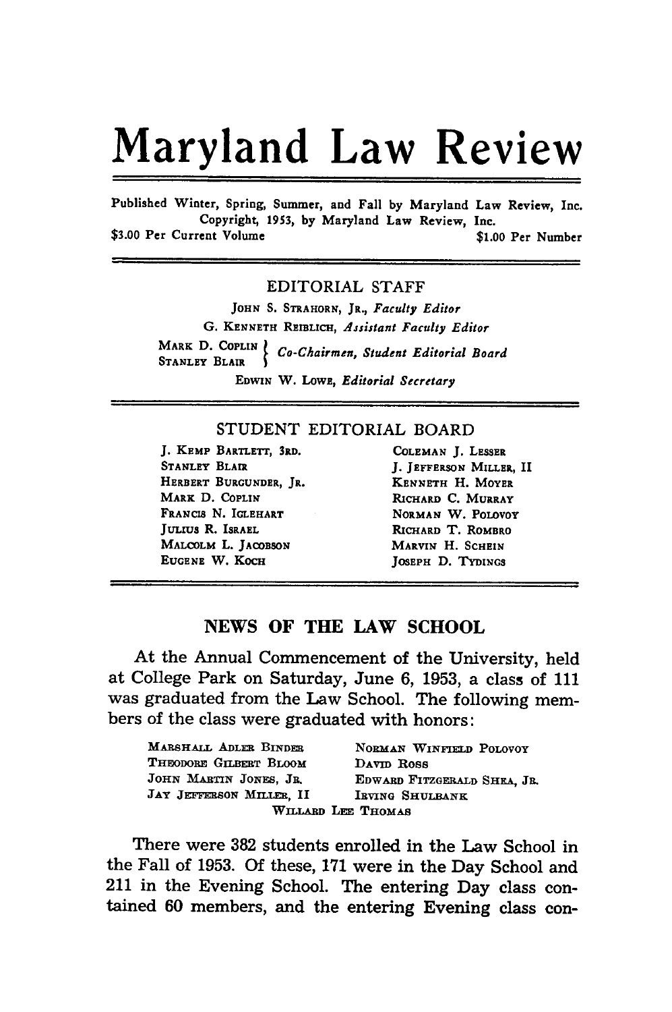# Maryland Law Review

Published Winter, Spring, Summer, and Fall **by** Maryland Law Review, Inc. Copyright, **1953, by** Maryland Law Review, Inc.

**\$3.00** Per Current Volume **\$1.00** Per Number

#### EDITORIAL **STAFF**

**JOHN S.** STRAHORN, JR., *Faculty Editor* **G. KENNETH** REIBLICH, *Assistant Faculty Editor* MARK **D. COPLIN** *Co-Chairmen, Student Editorial Board* **STANLEY BLAIR EnwIN** W. LOWE, *Editorial Secretary*

#### **STUDENT** EDITORIAL BOARD

**J.** KEMP BARTLETT, **3RD.** COLEMAN **J. LESSER** STANLEY BLAIR **J. JEFFERSON MILLER, II** HERBERT **BURGUNDER, JR. KENNETH** H. MOYER MARK **D. COPLIN** RICHARD **C.** MURRAY FRANCIS N. IGLEHART NORMAN W. POLOVOY JULIUS R. ISRAEL RICHARD T. ROMBRO MALCOLM L. **JACDBSON** MARVIN H. **SCHEIN EUGENE W. KOCH JOSEPH D. TYDINGS** 

#### **NEWS** OF THE LAW **SCHOOL**

At the Annual Commencement of the University, held at College Park on Saturday, June **6, 1953,** a class of **<sup>111</sup>** was graduated from the Law School. The following members of the class were graduated with honors:

| MARSHALL ADLER BINDER    | NORMAN WINFIELD POLOVOY     |
|--------------------------|-----------------------------|
| THEODORE GILBERT BLOOM   | DAVID ROSS                  |
| JOHN MARTIN JONES, JR.   | EDWARD FITZGERALD SHEA. JR. |
| JAY JEFFERSON MILLER, II | IRVING SHULBANK             |
|                          | WILLARD LEE THOMAS          |

There were **382** students enrolled in the Law School in the Fall of **1953. Of** these, **171** were in the Day School and 211 in the Evening School. The entering Day class contained **60** members, and the entering Evening class con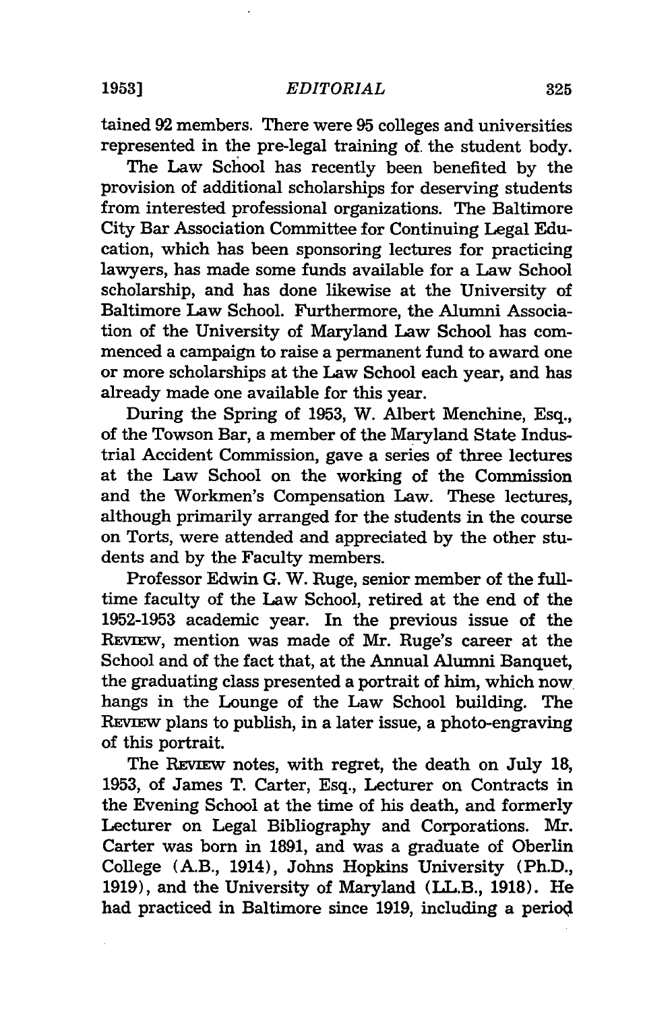**19531**

tained 92 members. There were 95 colleges and universities represented in the pre-legal training of. the student body.

The Law School has recently been benefited by the provision of additional scholarships for deserving students from interested professional organizations. The Baltimore City Bar Association Committee for Continuing Legal Education, which has been sponsoring lectures for practicing lawyers, has made some funds available for a Law School scholarship, and has done likewise at the University of Baltimore Law School. Furthermore, the Alumni Association of the University of Maryland Law School has commenced a campaign to raise a permanent fund to award one or more scholarships at the Law School each year, and has already made one available for this year.

During the Spring of 1953, W. Albert Menchine, Esq., of the Towson Bar, a member of the Maryland State Industrial Accident Commission, gave a series of three lectures at the Law School on the working of the Commission and the Workmen's Compensation Law. These lectures, although primarily arranged for the students in the course on Torts, were attended and appreciated by the other students and by the Faculty members.

Professor Edwin G. W. Ruge, senior member of the fulltime faculty of the Law School, retired at the end of the 1952-1953 academic year. In the previous issue of the REVIEW, mention was made of Mr. Ruge's career at the School and of the fact that, at the Annual Alumni Banquet, the graduating class presented a portrait of him, which now hangs in the Lounge of the Law School building. The REVIEw plans to publish, in a later issue, a photo-engraving of this portrait.

The Review notes, with regret, the death on July 18, 1953, of James T. Carter, Esq., Lecturer on Contracts in the Evening School at the time of his death, and formerly Lecturer on Legal Bibliography and Corporations. Mr. Carter was born in 1891, and was a graduate of Oberlin College (A.B., 1914), Johns Hopkins University (Ph.D., 1919), and the University of Maryland (LL.B., 1918). He had practiced in Baltimore since 1919, including a periol